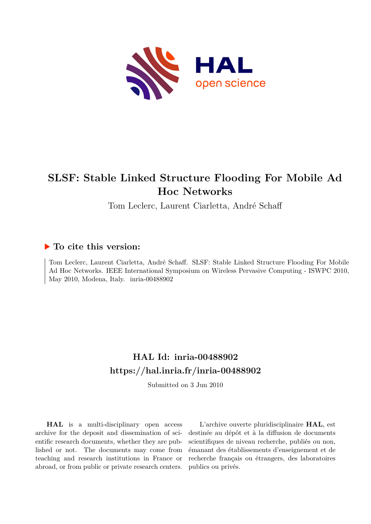

## **SLSF: Stable Linked Structure Flooding For Mobile Ad Hoc Networks**

Tom Leclerc, Laurent Ciarletta, André Schaff

### **To cite this version:**

Tom Leclerc, Laurent Ciarletta, André Schaff. SLSF: Stable Linked Structure Flooding For Mobile Ad Hoc Networks. IEEE International Symposium on Wireless Pervasive Computing - ISWPC 2010, May 2010, Modena, Italy. inria-00488902

## **HAL Id: inria-00488902 <https://hal.inria.fr/inria-00488902>**

Submitted on 3 Jun 2010

**HAL** is a multi-disciplinary open access archive for the deposit and dissemination of scientific research documents, whether they are published or not. The documents may come from teaching and research institutions in France or abroad, or from public or private research centers.

L'archive ouverte pluridisciplinaire **HAL**, est destinée au dépôt et à la diffusion de documents scientifiques de niveau recherche, publiés ou non, émanant des établissements d'enseignement et de recherche français ou étrangers, des laboratoires publics ou privés.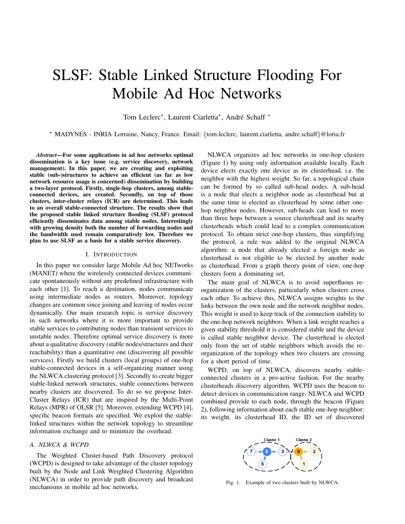# SLSF: Stable Linked Structure Flooding For Mobile Ad Hoc Networks

Tom Leclerc<sup>\*</sup>, Laurent Ciarletta<sup>\*</sup>, André Schaff<sup>\*</sup>

<sup>∗</sup> MADYNES - INRIA Lorraine, Nancy, France. Email: {tom.leclerc, laurent.ciarletta, andre.schaff}@loria.fr

*Abstract*—For some applications in ad hoc networks optimal dissemination is a key issue (e.g. service discovery, network management). In this paper, we are creating and exploiting stable (sub-)structures to achieve an efficient (as far as low network resource usage is concerned) dissemination by building a two-layer protocol. Firstly, single-hop clusters, among stableconnected devices, are created. Secondly, on top of those clusters, inter-cluster relays (ICR) are determined. This leads to an overall stable-connected structure. The results show that the proposed stable linked structure flooding (SLSF) protocol efficiently disseminates data among stable nodes. Interestingly with growing density both the number of forwarding nodes and the bandwidth used remain comparatively low. Therefore we plan to use SLSF as a basis for a stable service discovery.

#### I. INTRODUCTION

In this paper we consider large Mobile Ad hoc NETworks (MANET) where the wirelessly connected devices communicate spontaneously without any predefined infrastructure with each other [1]. To reach a destination, nodes communicate using intermediate nodes as routers. Moreover, topology changes are common since joining and leaving of nodes occur dynamically. Our main research topic is service discovery in such networks where it is more important to provide stable services to contributing nodes than transient services to unstable nodes. Therefore optimal service discovery is more about a qualitative discovery (stable nodes/structures and their reachability) than a quantitative one (discovering all possible services). Firstly we build clusters (local groups) of one-hop stable-connected devices in a self-organizing manner using the NLWCA clustering protocol [3]. Secondly to create bigger stable-linked network structures, stable connections between nearby clusters are discovered. To do so we propose Inter-Cluster Relays (ICR) that are inspired by the Multi-Point Relays (MPR) of OLSR [5]. Moreover, extending WCPD [4], specific beacon formats are specified. We exploit the stablelinked structures within the network topology to streamline information exchange and to minimize the overhead.

#### *A. NLWCA & WCPD*

The Weighted Cluster-based Path Discovery protocol (WCPD) is designed to take advantage of the cluster topology built by the Node and Link Weighted Clustering Algorithm (NLWCA) in order to provide path discovery and broadcast mechanisms in mobile ad hoc networks.

NLWCA organizes ad hoc networks in one-hop clusters (Figure 1) by using only information available locally. Each device elects exactly one device as its clusterhead, i.e. the neighbor with the highest weight. So far, a topological chain can be formed by so called sub-head nodes. A sub-head is a node that elects a neighbor node as clusterhead but at the same time is elected as clusterhead by some other onehop neighbor nodes. However, sub-heads can lead to more than three hops between a source clusterhead and its nearby clusterheads which could lead to a complex communication protocol. To obtain strict one-hop clusters, thus simplifying the protocol, a rule was added to the original NLWCA algorithm: a node that already elected a foreign node as clusterhead is not eligible to be elected by another node as clusterhead. From a graph theory point of view, one-hop clusters form a dominating set.

The main goal of NLWCA is to avoid superfluous reorganization of the clusters, particularly when clusters cross each other. To achieve this, NLWCA assigns weights to the links between the own node and the network neighbor nodes. This weight is used to keep track of the connection stability to the one-hop network neighbors. When a link weight reaches a given stability threshold it is considered stable and the device is called stable neighbor device. The clusterhead is elected only from the set of stable neighbors which avoids the reorganization of the topology when two clusters are crossing for a short period of time.

WCPD, on top of NLWCA, discovers nearby stableconnected clusters in a pro-active fashion. For the nearby clusterheads discovery algorithm, WCPD uses the beacon to detect devices in communication range. NLWCA and WCPD combined provide to each node, through the beacon (Figure 2), following information about each stable one-hop neighbor: its weight, its clusterhead ID, the ID set of discovered



Fig. 1. Example of two clusters built by NLWCA.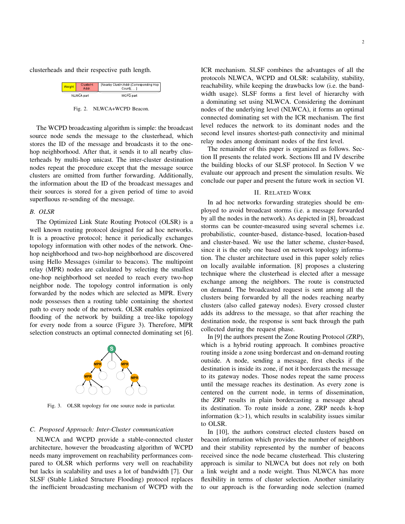clusterheads and their respective path length.

| Weight     | <b>ClusterH</b><br>Addr. | [Nearby ClustH Addr (Corresponding Hop<br>Count: |
|------------|--------------------------|--------------------------------------------------|
| NLWCA part |                          | WCPD part                                        |

Fig. 2. NLWCA+WCPD Beacon.

The WCPD broadcasting algorithm is simple: the broadcast source node sends the message to the clusterhead, which stores the ID of the message and broadcasts it to the onehop neighborhood. After that, it sends it to all nearby clusterheads by multi-hop unicast. The inter-cluster destination nodes repeat the procedure except that the message source clusters are omitted from further forwarding. Additionally, the information about the ID of the broadcast messages and their sources is stored for a given period of time to avoid superfluous re-sending of the message.

#### *B. OLSR*

The Optimized Link State Routing Protocol (OLSR) is a well known routing protocol designed for ad hoc networks. It is a proactive protocol; hence it periodically exchanges topology information with other nodes of the network. Onehop neighborhood and two-hop neighborhood are discovered using Hello Messages (similar to beacons). The multipoint relay (MPR) nodes are calculated by selecting the smallest one-hop neighborhood set needed to reach every two-hop neighbor node. The topology control information is only forwarded by the nodes which are selected as MPR. Every node possesses then a routing table containing the shortest path to every node of the network. OLSR enables optimized flooding of the network by building a tree-like topology for every node from a source (Figure 3). Therefore, MPR selection constructs an optimal connected dominating set [6].



Fig. 3. OLSR topology for one source node in particular.

#### *C. Proposed Approach: Inter-Cluster communication*

NLWCA and WCPD provide a stable-connected cluster architecture, however the broadcasting algorithm of WCPD needs many improvement on reachability performances compared to OLSR which performs very well on reachability but lacks in scalability and uses a lot of bandwidth [7]. Our SLSF (Stable Linked Structure Flooding) protocol replaces the inefficient broadcasting mechanism of WCPD with the

2

ICR mechanism. SLSF combines the advantages of all the protocols NLWCA, WCPD and OLSR: scalability, stability, reachability, while keeping the drawbacks low (i.e. the bandwidth usage). SLSF forms a first level of hierarchy with a dominating set using NLWCA. Considering the dominant nodes of the underlying level (NLWCA), it forms an optimal connected dominating set with the ICR mechanism. The first level reduces the network to its dominant nodes and the second level insures shortest-path connectivity and minimal relay nodes among dominant nodes of the first level.

The remainder of this paper is organized as follows. Section II presents the related work. Sections III and IV describe the building blocks of our SLSF protocol. In Section V we evaluate our approach and present the simulation results. We conclude our paper and present the future work in section VI.

#### II. RELATED WORK

In ad hoc networks forwarding strategies should be employed to avoid broadcast storms (i.e. a message forwarded by all the nodes in the network). As depicted in [8], broadcast storms can be counter-measured using several schemes i.e. probabilistic, counter-based, distance-based, location-based and cluster-based. We use the latter scheme, cluster-based, since it is the only one based on network topology information. The cluster architecture used in this paper solely relies on locally available information. [8] proposes a clustering technique where the clusterhead is elected after a message exchange among the neighbors. The route is constructed on demand. The broadcasted request is sent among all the clusters being forwarded by all the nodes reaching nearby clusters (also called gateway nodes). Every crossed cluster adds its address to the message, so that after reaching the destination node, the response is sent back through the path collected during the request phase.

In [9] the authors present the Zone Routing Protocol (ZRP), which is a hybrid routing approach. It combines proactive routing inside a zone using bordercast and on-demand routing outside. A node, sending a message, first checks if the destination is inside its zone, if not it bordercasts the message to its gateway nodes. Those nodes repeat the same process until the message reaches its destination. As every zone is centered on the current node, in terms of dissemination, the ZRP results in plain bordercasting a message ahead its destination. To route inside a zone, ZRP needs k-hop information  $(k>1)$ , which results in scalability issues similar to OLSR.

In [10], the authors construct elected clusters based on beacon information which provides the number of neighbors and their stability represented by the number of beacons received since the node became clusterhead. This clustering approach is similar to NLWCA but does not rely on both a link weight and a node weight. Thus NLWCA has more flexibility in terms of cluster selection. Another similarity to our approach is the forwarding node selection (named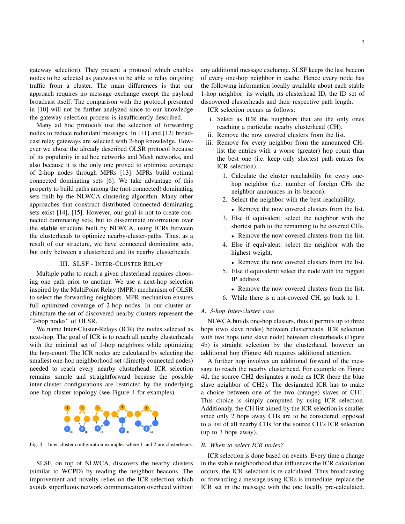gateway selection). They present a protocol which enables nodes to be selected as gateways to be able to relay outgoing traffic from a cluster. The main differences is that our approach requires no message exchange except the payload broadcast itself. The comparison with the protocol presented in [10] will not be further analyzed since to our knowledge the gateway selection process is insufficiently described.

Many ad hoc protocols use the selection of forwarding nodes to reduce redundant messages. In [11] and [12] broadcast relay gateways are selected with 2-hop knowledge. However we chose the already described OLSR protocol because of its popularity in ad hoc networks and Mesh networks, and also because it is the only one proved to optimize coverage of 2-hop nodes through MPRs [13]. MPRs build optimal connected dominating sets [6]. We take advantage of this property to build paths among the (not-connected) dominating sets built by the NLWCA clustering algorithm. Many other approaches that construct distributed connected dominating sets exist [14], [15]. However, our goal is not to create connected dominating sets, but to disseminate information over the stable structure built by NLWCA, using ICRs between the clusterheads to optimize nearby-cluster-paths. Thus, as a result of our structure, we have connected dominating sets, but only between a clusterhead and its nearby clusterheads.

#### III. SLSF - INTER-CLUSTER RELAY

Multiple paths to reach a given clusterhead requires choosing one path prior to another. We use a next-hop selection inspired by the MultiPoint Relay (MPR) mechanism of OLSR to select the forwarding neighbors. MPR mechanism ensures full optimized coverage of 2-hop nodes. In our cluster architecture the set of discovered nearby clusters represent the "2-hop nodes" of OLSR.

We name Inter-Cluster-Relays (ICR) the nodes selected as next-hop. The goal of ICR is to reach all nearby clusterheads with the minimal set of 1-hop neighbors while optimizing the hop-count. The ICR nodes are calculated by selecting the smallest one-hop neighborhood set (directly connected nodes) needed to reach every nearby clusterhead. ICR selection remains simple and straightforward because the possible inter-cluster configurations are restricted by the underlying one-hop cluster topology (see Figure 4 for examples).



Fig. 4. Inter-cluster configuration examples where 1 and 2 are clusterheads.

SLSF, on top of NLWCA, discovers the nearby clusters (similar to WCPD) by reading the neighbor beacons. The improvement and novelty relies on the ICR selection which avoids superfluous network communication overhead without

any additional message exchange. SLSF keeps the last beacon of every one-hop neighbor in cache. Hence every node has the following information locally available about each stable 1-hop neighbor: its weigth, its clusterhead ID, the ID set of discovered clusterheads and their respective path length.

ICR selection occurs as follows:

- i. Select as ICR the neighbors that are the only ones reaching a particular nearby clusterhead (CH).
- ii. Remove the now covered clusters from the list.
- iii. Remove for every neighbor from the announced CHlist the entries with a worse (greater) hop count than the best one (i.e. keep only shortest path entries for ICR selection).
	- 1. Calculate the cluster reachability for every onehop neighbor (i.e. number of foreign CHs the neighbor announces in its beacon).
	- 2. Select the neighbor with the best reachability.
		- Remove the now covered clusters from the list.
	- 3. Else if equivalent: select the neighbor with the shortest path to the remaining to be covered CHs.
		- Remove the now covered clusters from the list.
	- 4. Else if equivalent: select the neighbor with the highest weight.
		- Remove the now covered clusters from the list.
	- 5. Else if equivalent: select the node with the biggest IP address.
		- Remove the now covered clusters from the list.
	- 6. While there is a not-covered CH, go back to 1.

#### *A. 3-hop Inter-cluster case*

NLWCA builds one-hop clusters, thus it permits up to three hops (two slave nodes) between clusterheads. ICR selection with two hops (one slave node) between clusterheads (Figure 4b) is straight selection by the clusterhead, however an additional hop (Figure 4d) requires additional attention.

A further hop involves an additional forward of the message to reach the nearby clusterhead. For example on Figure 4d, the source CH2 designates a node as ICR (here the blue slave neighbor of CH2). The designated ICR has to make a choice between one of the two (orange) slaves of CH1. This choice is simply computed by using ICR selection. Additionaly, the CH list aimed by the ICR selection is smaller since only 2 hops away CHs are to be considered, opposed to a list of all nearby CHs for the source CH's ICR selection (up to 3 hops away).

#### *B. When to select ICR nodes?*

ICR selection is done based on events. Every time a change in the stable neighborhood that influences the ICR calculation occurs, the ICR selection is re-calculated. Thus broadcasting or forwarding a message using ICRs is immediate: replace the ICR set in the message with the one locally pre-calculated.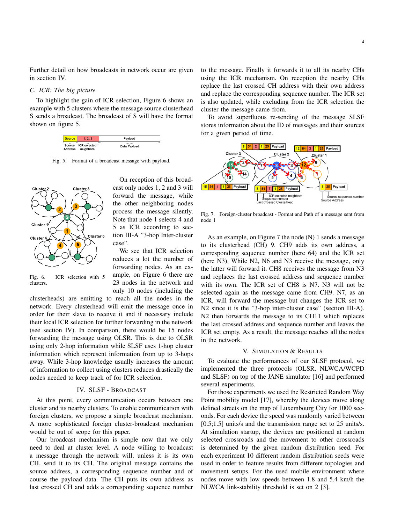Further detail on how broadcasts in network occur are given in section IV.

#### *C. ICR: The big picture*

To highlight the gain of ICR selection, Figure 6 shows an example with 5 clusters where the message source clusterhead S sends a broadcast. The broadcast of S will have the format shown on figure 5.



Fig. 5. Format of a broadcast message with payload.



On reception of this broadcast only nodes 1, 2 and 3 will forward the message, while the other neighboring nodes process the message silently. Note that node 1 selects 4 and 5 as ICR according to section III-A "3-hop Inter-cluster case".

We see that ICR selection reduces a lot the number of forwarding nodes. As an example, on Figure 6 there are 23 nodes in the network and only 10 nodes (including the

Fig. 6. ICR selection with 5 clusters.

clusterheads) are emitting to reach all the nodes in the network. Every clusterhead will emit the message once in order for their slave to receive it and if necessary include their local ICR selection for further forwarding in the network (see section IV). In comparison, there would be 15 nodes forwarding the message using OLSR. This is due to OLSR using only 2-hop information while SLSF uses 1-hop cluster information which represent information from up to 3-hops away. While 3-hop knowledge usually increases the amount of information to collect using clusters reduces drastically the nodes needed to keep track of for ICR selection.

#### IV. SLSF - BROADCAST

At this point, every communication occurs between one cluster and its nearby clusters. To enable communication with foreign clusters, we propose a simple broadcast mechanism. A more sophisticated foreign cluster-broadcast mechanism would be out of scope for this paper.

Our broadcast mechanism is simple now that we only need to deal at cluster level. A node willing to broadcast a message through the network will, unless it is its own CH, send it to its CH. The original message contains the source address, a corresponding sequence number and of course the payload data. The CH puts its own address as last crossed CH and adds a corresponding sequence number

to the message. Finally it forwards it to all its nearby CHs using the ICR mechanism. On reception the nearby CHs replace the last crossed CH address with their own address and replace the corresponding sequence number. The ICR set is also updated, while excluding from the ICR selection the cluster the message came from.

To avoid superfluous re-sending of the message SLSF stores information about the ID of messages and their sources for a given period of time.



Fig. 7. Foreign-cluster broadcast - Format and Path of a message sent from node 1

As an example, on Figure 7 the node (N) 1 sends a message to its clusterhead (CH) 9. CH9 adds its own address, a corresponding sequence number (here 64) and the ICR set (here N3). While N2, N6 and N3 receive the message, only the latter will forward it. CH8 receives the message from N3 and replaces the last crossed address and sequence number with its own. The ICR set of CH8 is N7. N3 will not be selected again as the message came from CH9. N7, as an ICR, will forward the message but changes the ICR set to N2 since it is the "3-hop inter-cluster case" (section III-A). N2 then forwards the message to its CH11 which replaces the last crossed address and sequence number and leaves the ICR set empty. As a result, the message reaches all the nodes in the network.

#### V. SIMULATION & RESULTS

To evaluate the performances of our SLSF protocol, we implemented the three protocols (OLSR, NLWCA/WCPD and SLSF) on top of the JANE simulator [16] and performed several experiments.

For those experiments we used the Restricted Random Way Point mobility model [17], whereby the devices move along defined streets on the map of Luxembourg City for 1000 seconds. For each device the speed was randomly varied between [0.5;1.5] units/s and the transmission range set to 25 units/s. At simulation startup, the devices are positioned at random selected crossroads and the movement to other crossroads is determined by the given random distribution seed. For each experiment 10 different random distribution seeds were used in order to feature results from different topologies and movement setups. For the used mobile environment where nodes move with low speeds between 1.8 and 5.4 km/h the NLWCA link-stability threshold is set on 2 [3].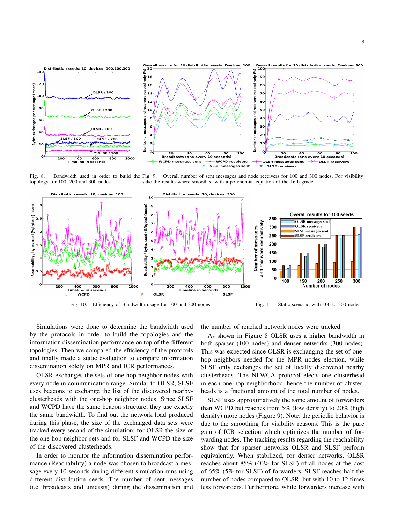

Fig. 8. Bandwidth used in order to build the Fig. 9. topology for 100, 200 and 300 nodes Overall number of sent messages and node receivers for 100 and 300 nodes. For visibility sake the results where smoothed with a polynomial equation of the 16th grade.



Simulations were done to determine the bandwidth used by the protocols in order to build the topologies and the information dissemination performance on top of the different topologies. Then we compared the efficiency of the protocols and finally made a static evaluation to compare information dissemination solely on MPR and ICR performances.

OLSR exchanges the sets of one-hop neighbor nodes with every node in communication range. Similar to OLSR, SLSF uses beacons to exchange the list of the discovered nearbyclusterheads with the one-hop neighbor nodes. Since SLSF and WCPD have the same beacon structure, they use exactly the same bandwidth. To find out the network load produced during this phase, the size of the exchanged data sets were tracked every second of the simulation: for OLSR the size of the one-hop neighbor sets and for SLSF and WCPD the size of the discovered clusterheads.

In order to monitor the information dissemination performance (Reachability) a node was chosen to broadcast a message every 10 seconds during different simulation runs using different distribution seeds. The number of sent messages (i.e. broadcasts and unicasts) during the dissemination and

the number of reached network nodes were tracked.

As shown in Figure 8 OLSR uses a higher bandwidth in both sparser (100 nodes) and denser networks (300 nodes). This was expected since OLSR is exchanging the set of onehop neighbors needed for the MPR nodes election, while SLSF only exchanges the set of locally discovered nearby clusterheads. The NLWCA protocol elects one clusterhead in each one-hop neighborhood, hence the number of clusterheads is a fractional amount of the total number of nodes.

SLSF uses approximatively the same amount of forwarders than WCPD but reaches from 5% (low density) to 20% (high density) more nodes (Figure 9). Note: the periodic behavior is due to the smoothing for visibility reasons. This is the pure gain of ICR selection which optimizes the number of forwarding nodes. The tracking results regarding the reachability show that for sparser networks OLSR and SLSF perform equivalently. When stabilized, for denser networks, OLSR reaches about 85% (40% for SLSF) of all nodes at the cost of 65% (5% for SLSF) of forwarders. SLSF reaches half the number of nodes compared to OLSR, but with 10 to 12 times less forwarders. Furthermore, while forwarders increase with